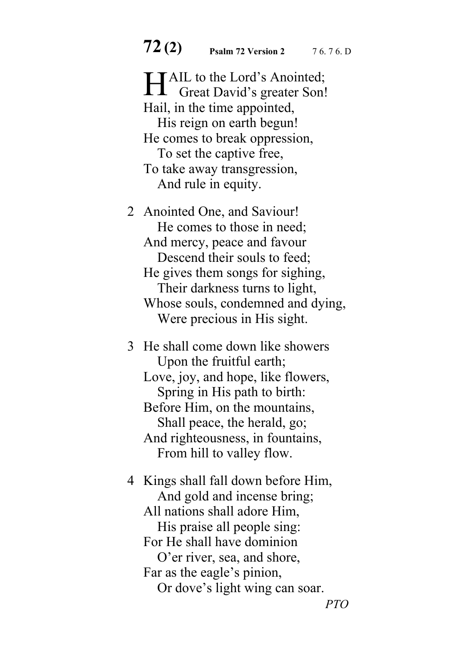**72 (2) Psalm 72 Version 2** 7 6. 7 6. D

**TAIL to the Lord's Anointed;** HAIL to the Lord's Anointed;<br>Great David's greater Son! Hail, in the time appointed, His reign on earth begun! He comes to break oppression, To set the captive free, To take away transgression, And rule in equity.

2 Anointed One, and Saviour! He comes to those in need; And mercy, peace and favour Descend their souls to feed; He gives them songs for sighing, Their darkness turns to light, Whose souls, condemned and dying, Were precious in His sight.

3 He shall come down like showers Upon the fruitful earth; Love, joy, and hope, like flowers, Spring in His path to birth: Before Him, on the mountains, Shall peace, the herald, go; And righteousness, in fountains, From hill to valley flow.

4 Kings shall fall down before Him, And gold and incense bring; All nations shall adore Him, His praise all people sing: For He shall have dominion O'er river, sea, and shore, Far as the eagle's pinion, Or dove's light wing can soar.